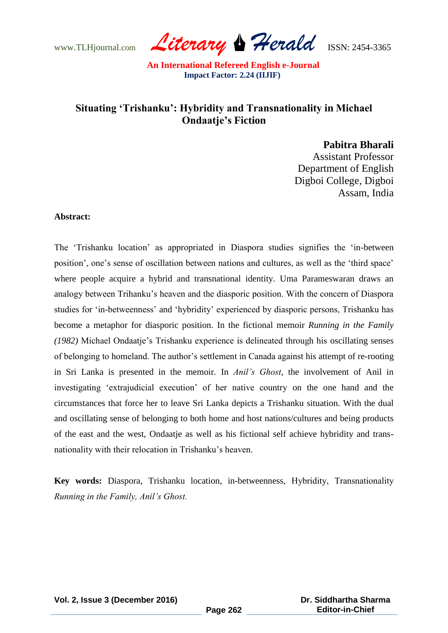www.TLHjournal.com *Literary Herald*ISSN: 2454-3365

## **Situating 'Trishanku': Hybridity and Transnationality in Michael Ondaatje's Fiction**

**Pabitra Bharali**

Assistant Professor Department of English Digboi College, Digboi Assam, India

## **Abstract:**

The 'Trishanku location' as appropriated in Diaspora studies signifies the 'in-between position', one's sense of oscillation between nations and cultures, as well as the 'third space' where people acquire a hybrid and transnational identity. Uma Parameswaran draws an analogy between Trihanku's heaven and the diasporic position. With the concern of Diaspora studies for 'in-betweenness' and 'hybridity' experienced by diasporic persons, Trishanku has become a metaphor for diasporic position. In the fictional memoir *Running in the Family (1982)* Michael Ondaatje's Trishanku experience is delineated through his oscillating senses of belonging to homeland. The author's settlement in Canada against his attempt of re-rooting in Sri Lanka is presented in the memoir*.* In *Anil's Ghost*, the involvement of Anil in investigating ‗extrajudicial execution' of her native country on the one hand and the circumstances that force her to leave Sri Lanka depicts a Trishanku situation. With the dual and oscillating sense of belonging to both home and host nations/cultures and being products of the east and the west, Ondaatje as well as his fictional self achieve hybridity and transnationality with their relocation in Trishanku's heaven.

**Key words:** Diaspora, Trishanku location, in-betweenness, Hybridity, Transnationality *Running in the Family, Anil's Ghost.*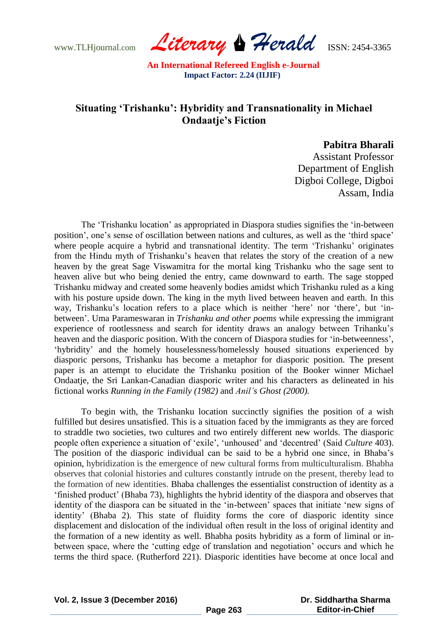www.TLHjournal.com *Literary Herald*ISSN: 2454-3365

## **Situating 'Trishanku': Hybridity and Transnationality in Michael Ondaatje's Fiction**

**Pabitra Bharali**

Assistant Professor Department of English Digboi College, Digboi Assam, India

The 'Trishanku location' as appropriated in Diaspora studies signifies the 'in-between position', one's sense of oscillation between nations and cultures, as well as the 'third space' where people acquire a hybrid and transnational identity. The term 'Trishanku' originates from the Hindu myth of Trishanku's heaven that relates the story of the creation of a new heaven by the great Sage Viswamitra for the mortal king Trishanku who the sage sent to heaven alive but who being denied the entry, came downward to earth. The sage stopped Trishanku midway and created some heavenly bodies amidst which Trishanku ruled as a king with his posture upside down. The king in the myth lived between heaven and earth. In this way, Trishanku's location refers to a place which is neither 'here' nor 'there', but 'inbetween'. Uma Parameswaran in *Trishanku and other poems* while expressing the immigrant experience of rootlessness and search for identity draws an analogy between Trihanku's heaven and the diasporic position. With the concern of Diaspora studies for 'in-betweenness', ‗hybridity' and the homely houselessness/homelessly housed situations experienced by diasporic persons, Trishanku has become a metaphor for diasporic position. The present paper is an attempt to elucidate the Trishanku position of the Booker winner Michael Ondaatje, the Sri Lankan-Canadian diasporic writer and his characters as delineated in his fictional works *Running in the Family (1982)* and *Anil's Ghost (2000).*

To begin with, the Trishanku location succinctly signifies the position of a wish fulfilled but desires unsatisfied. This is a situation faced by the immigrants as they are forced to straddle two societies, two cultures and two entirely different new worlds. The diasporic people often experience a situation of 'exile', 'unhoused' and 'decentred' (Said *Culture* 403). The position of the diasporic individual can be said to be a hybrid one since, in Bhaba's opinion, hybridization is the emergence of new cultural forms from multiculturalism. Bhabha observes that colonial histories and cultures constantly intrude on the present, thereby lead to the formation of new identities. Bhaba challenges the essentialist construction of identity as a ‗finished product' (Bhaba 73), highlights the hybrid identity of the diaspora and observes that identity of the diaspora can be situated in the 'in-between' spaces that initiate 'new signs of identity' (Bhaba 2). This state of fluidity forms the core of diasporic identity since displacement and dislocation of the individual often result in the loss of original identity and the formation of a new identity as well. Bhabha posits hybridity as a form of liminal or inbetween space, where the 'cutting edge of translation and negotiation' occurs and which he terms the third space. (Rutherford 221). Diasporic identities have become at once local and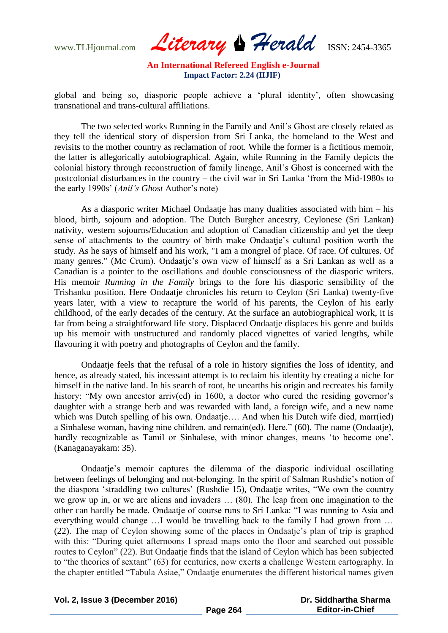www.TLHjournal.com *Literary Herald*ISSN: 2454-3365

global and being so, diasporic people achieve a ‗plural identity', often showcasing transnational and trans-cultural affiliations.

The two selected works Running in the Family and Anil's Ghost are closely related as they tell the identical story of dispersion from Sri Lanka, the homeland to the West and revisits to the mother country as reclamation of root. While the former is a fictitious memoir, the latter is allegorically autobiographical. Again, while Running in the Family depicts the colonial history through reconstruction of family lineage, Anil's Ghost is concerned with the postcolonial disturbances in the country – the civil war in Sri Lanka ‗from the Mid-1980s to the early 1990s' (*Anil's Ghost* Author's note)

As a diasporic writer Michael Ondaatje has many dualities associated with him – his blood, birth, sojourn and adoption. The Dutch Burgher ancestry, Ceylonese (Sri Lankan) nativity, western sojourns/Education and adoption of Canadian citizenship and yet the deep sense of attachments to the country of birth make Ondaatje's cultural position worth the study. As he says of himself and his work, "I am a mongrel of place. Of race. Of cultures. Of many genres." (Mc Crum). Ondaatje's own view of himself as a Sri Lankan as well as a Canadian is a pointer to the oscillations and double consciousness of the diasporic writers. His memoir *Running in the Family* brings to the fore his diasporic sensibility of the Trishanku position. Here Ondaatje chronicles his return to Ceylon (Sri Lanka) twenty-five years later, with a view to recapture the world of his parents, the Ceylon of his early childhood, of the early decades of the century. At the surface an autobiographical work, it is far from being a straightforward life story. Displaced Ondaatje displaces his genre and builds up his memoir with unstructured and randomly placed vignettes of varied lengths, while flavouring it with poetry and photographs of Ceylon and the family.

Ondaatje feels that the refusal of a role in history signifies the loss of identity, and hence, as already stated, his incessant attempt is to reclaim his identity by creating a niche for himself in the native land. In his search of root, he unearths his origin and recreates his family history: "My own ancestor arriv(ed) in 1600, a doctor who cured the residing governor's daughter with a strange herb and was rewarded with land, a foreign wife, and a new name which was Dutch spelling of his own. Ondaatje.... And when his Dutch wife died, marr(ied) a Sinhalese woman, having nine children, and remain(ed). Here." (60). The name (Ondaatje), hardly recognizable as Tamil or Sinhalese, with minor changes, means 'to become one'. (Kanaganayakam: 35).

Ondaatje's memoir captures the dilemma of the diasporic individual oscillating between feelings of belonging and not-belonging. In the spirit of Salman Rushdie's notion of the diaspora 'straddling two cultures' (Rushdie 15), Ondaatje writes, "We own the country we grow up in, or we are aliens and invaders … (80). The leap from one imagination to the other can hardly be made. Ondaatje of course runs to Sri Lanka: "I was running to Asia and everything would change …I would be travelling back to the family I had grown from … (22). The map of Ceylon showing some of the places in Ondaatje's plan of trip is graphed with this: "During quiet afternoons I spread maps onto the floor and searched out possible routes to Ceylon" (22). But Ondaatje finds that the island of Ceylon which has been subjected to "the theories of sextant" (63) for centuries, now exerts a challenge Western cartography. In the chapter entitled "Tabula Asiae," Ondaatje enumerates the different historical names given

**Vol. 2, Issue 3 (December 2016)**

 **Dr. Siddhartha Sharma Editor-in-Chief**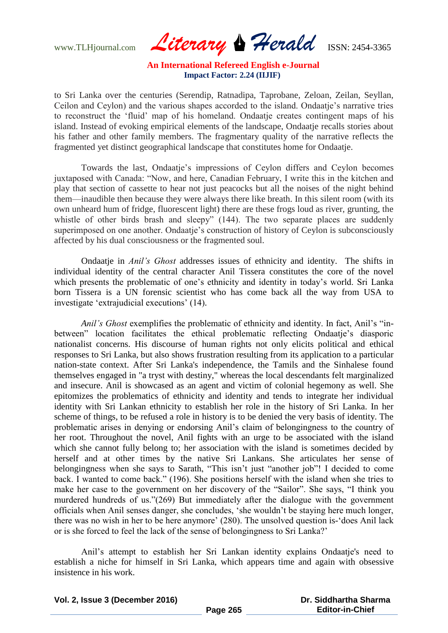www.TLHjournal.com *Literary Herald*ISSN: 2454-3365

to Sri Lanka over the centuries (Serendip, Ratnadipa, Taprobane, Zeloan, Zeilan, Seyllan, Ceilon and Ceylon) and the various shapes accorded to the island. Ondaatje's narrative tries to reconstruct the ‗fluid' map of his homeland. Ondaatje creates contingent maps of his island. Instead of evoking empirical elements of the landscape, Ondaatje recalls stories about his father and other family members. The fragmentary quality of the narrative reflects the fragmented yet distinct geographical landscape that constitutes home for Ondaatje.

Towards the last, Ondaatje's impressions of Ceylon differs and Ceylon becomes juxtaposed with Canada: "Now, and here, Canadian February, I write this in the kitchen and play that section of cassette to hear not just peacocks but all the noises of the night behind them—inaudible then because they were always there like breath. In this silent room (with its own unheard hum of fridge, fluorescent light) there are these frogs loud as river, grunting, the whistle of other birds brash and sleepy" (144). The two separate places are suddenly superimposed on one another. Ondaatje's construction of history of Ceylon is subconsciously affected by his dual consciousness or the fragmented soul.

Ondaatje in *Anil's Ghost* addresses issues of ethnicity and identity. The shifts in individual identity of the central character Anil Tissera constitutes the core of the novel which presents the problematic of one's ethnicity and identity in today's world. Sri Lanka born Tissera is a UN forensic scientist who has come back all the way from USA to investigate 'extrajudicial executions' (14).

*Anil's Ghost* exemplifies the problematic of ethnicity and identity. In fact, Anil's "inbetween" location facilitates the ethical problematic reflecting Ondaatje's diasporic nationalist concerns. His discourse of human rights not only elicits political and ethical responses to Sri Lanka, but also shows frustration resulting from its application to a particular nation-state context. After Sri Lanka's independence, the Tamils and the Sinhalese found themselves engaged in "a tryst with destiny," whereas the local descendants felt marginalized and insecure. Anil is showcased as an agent and victim of colonial hegemony as well. She epitomizes the problematics of ethnicity and identity and tends to integrate her individual identity with Sri Lankan ethnicity to establish her role in the history of Sri Lanka. In her scheme of things, to be refused a role in history is to be denied the very basis of identity. The problematic arises in denying or endorsing Anil's claim of belongingness to the country of her root. Throughout the novel, Anil fights with an urge to be associated with the island which she cannot fully belong to; her association with the island is sometimes decided by herself and at other times by the native Sri Lankans. She articulates her sense of belongingness when she says to Sarath, "This isn't just "another job"! I decided to come back. I wanted to come back." (196). She positions herself with the island when she tries to make her case to the government on her discovery of the "Sailor". She says, "I think you murdered hundreds of us." $(269)$  But immediately after the dialogue with the government officials when Anil senses danger, she concludes, ‗she wouldn't be staying here much longer, there was no wish in her to be here anymore' (280). The unsolved question is-‗does Anil lack or is she forced to feel the lack of the sense of belongingness to Sri Lanka?'

Anil's attempt to establish her Sri Lankan identity explains Ondaatje's need to establish a niche for himself in Sri Lanka, which appears time and again with obsessive insistence in his work.

**Vol. 2, Issue 3 (December 2016)**

 **Dr. Siddhartha Sharma Editor-in-Chief**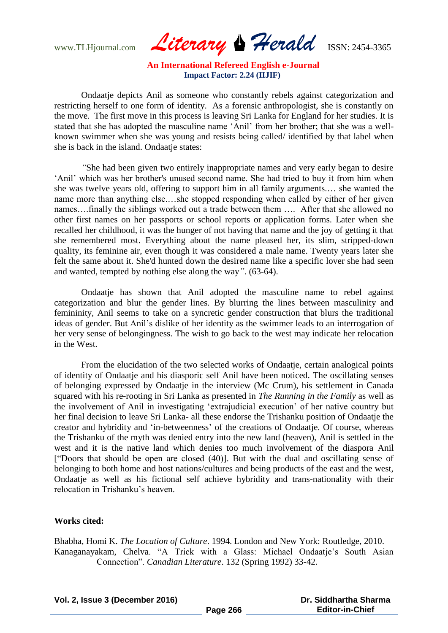www.TLHjournal.com *Literary Herald*ISSN: 2454-3365

Ondaatje depicts Anil as someone who constantly rebels against categorization and restricting herself to one form of identity. As a forensic anthropologist, she is constantly on the move. The first move in this process is leaving Sri Lanka for England for her studies. It is stated that she has adopted the masculine name 'Anil' from her brother; that she was a wellknown swimmer when she was young and resists being called/ identified by that label when she is back in the island. Ondaatje states:

*"*She had been given two entirely inappropriate names and very early began to desire ‗Anil' which was her brother's unused second name. She had tried to buy it from him when she was twelve years old, offering to support him in all family arguments.… she wanted the name more than anything else.…she stopped responding when called by either of her given names….finally the siblings worked out a trade between them …. After that she allowed no other first names on her passports or school reports or application forms. Later when she recalled her childhood, it was the hunger of not having that name and the joy of getting it that she remembered most. Everything about the name pleased her, its slim, stripped-down quality, its feminine air, even though it was considered a male name. Twenty years later she felt the same about it. She'd hunted down the desired name like a specific lover she had seen and wanted, tempted by nothing else along the way*"*. (63-64).

Ondaatje has shown that Anil adopted the masculine name to rebel against categorization and blur the gender lines. By blurring the lines between masculinity and femininity, Anil seems to take on a syncretic gender construction that blurs the traditional ideas of gender. But Anil's dislike of her identity as the swimmer leads to an interrogation of her very sense of belongingness. The wish to go back to the west may indicate her relocation in the West.

From the elucidation of the two selected works of Ondaatje, certain analogical points of identity of Ondaatje and his diasporic self Anil have been noticed. The oscillating senses of belonging expressed by Ondaatje in the interview (Mc Crum), his settlement in Canada squared with his re-rooting in Sri Lanka as presented in *The Running in the Family* as well as the involvement of Anil in investigating ‗extrajudicial execution' of her native country but her final decision to leave Sri Lanka- all these endorse the Trishanku position of Ondaatje the creator and hybridity and ‗in-betweenness' of the creations of Ondaatje. Of course, whereas the Trishanku of the myth was denied entry into the new land (heaven), Anil is settled in the west and it is the native land which denies too much involvement of the diaspora Anil ["Doors that should be open are closed  $(40)$ ]. But with the dual and oscillating sense of belonging to both home and host nations/cultures and being products of the east and the west, Ondaatje as well as his fictional self achieve hybridity and trans-nationality with their relocation in Trishanku's heaven.

## **Works cited:**

Bhabha, Homi K. *The Location of Culture*. 1994. London and New York: Routledge, 2010. Kanaganayakam, Chelva. "A Trick with a Glass: Michael Ondaatje's South Asian Connection". *Canadian Literature*. 132 (Spring 1992) 33-42.